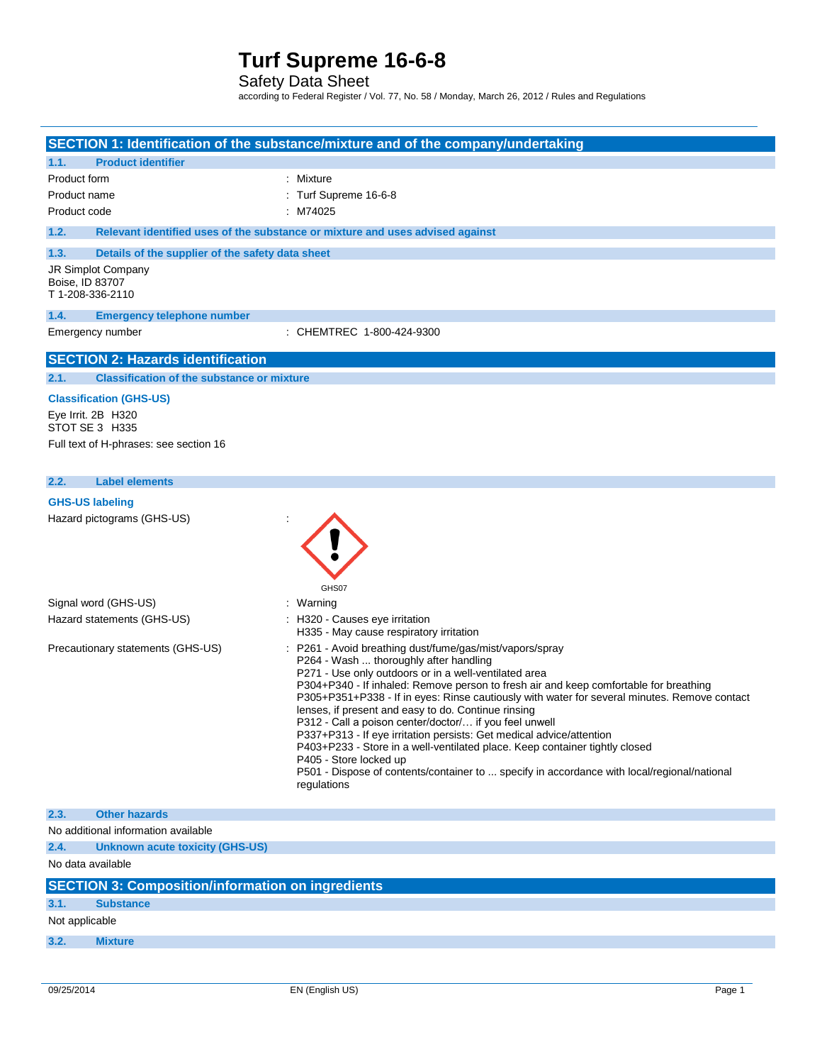Safety Data Sheet

according to Federal Register / Vol. 77, No. 58 / Monday, March 26, 2012 / Rules and Regulations

|                 |                                                                        | SECTION 1: Identification of the substance/mixture and of the company/undertaking                                                                                                                                                                                                                                                                                                                                                                                                                                                                                                                                                                                                                                                                                    |
|-----------------|------------------------------------------------------------------------|----------------------------------------------------------------------------------------------------------------------------------------------------------------------------------------------------------------------------------------------------------------------------------------------------------------------------------------------------------------------------------------------------------------------------------------------------------------------------------------------------------------------------------------------------------------------------------------------------------------------------------------------------------------------------------------------------------------------------------------------------------------------|
| 1.1.            | <b>Product identifier</b>                                              |                                                                                                                                                                                                                                                                                                                                                                                                                                                                                                                                                                                                                                                                                                                                                                      |
| Product form    |                                                                        | : Mixture                                                                                                                                                                                                                                                                                                                                                                                                                                                                                                                                                                                                                                                                                                                                                            |
| Product name    |                                                                        | : Turf Supreme 16-6-8                                                                                                                                                                                                                                                                                                                                                                                                                                                                                                                                                                                                                                                                                                                                                |
| Product code    |                                                                        | : M74025                                                                                                                                                                                                                                                                                                                                                                                                                                                                                                                                                                                                                                                                                                                                                             |
| 1.2.            |                                                                        | Relevant identified uses of the substance or mixture and uses advised against                                                                                                                                                                                                                                                                                                                                                                                                                                                                                                                                                                                                                                                                                        |
| 1.3.            | Details of the supplier of the safety data sheet                       |                                                                                                                                                                                                                                                                                                                                                                                                                                                                                                                                                                                                                                                                                                                                                                      |
| Boise, ID 83707 | JR Simplot Company<br>T 1-208-336-2110                                 |                                                                                                                                                                                                                                                                                                                                                                                                                                                                                                                                                                                                                                                                                                                                                                      |
| 1.4.            | <b>Emergency telephone number</b>                                      |                                                                                                                                                                                                                                                                                                                                                                                                                                                                                                                                                                                                                                                                                                                                                                      |
|                 | Emergency number                                                       | : CHEMTREC 1-800-424-9300                                                                                                                                                                                                                                                                                                                                                                                                                                                                                                                                                                                                                                                                                                                                            |
|                 | <b>SECTION 2: Hazards identification</b>                               |                                                                                                                                                                                                                                                                                                                                                                                                                                                                                                                                                                                                                                                                                                                                                                      |
| 2.1.            | <b>Classification of the substance or mixture</b>                      |                                                                                                                                                                                                                                                                                                                                                                                                                                                                                                                                                                                                                                                                                                                                                                      |
|                 |                                                                        |                                                                                                                                                                                                                                                                                                                                                                                                                                                                                                                                                                                                                                                                                                                                                                      |
|                 | <b>Classification (GHS-US)</b><br>Eye Irrit. 2B H320<br>STOT SE 3 H335 |                                                                                                                                                                                                                                                                                                                                                                                                                                                                                                                                                                                                                                                                                                                                                                      |
|                 | Full text of H-phrases: see section 16                                 |                                                                                                                                                                                                                                                                                                                                                                                                                                                                                                                                                                                                                                                                                                                                                                      |
|                 |                                                                        |                                                                                                                                                                                                                                                                                                                                                                                                                                                                                                                                                                                                                                                                                                                                                                      |
| 2.2.            | <b>Label elements</b>                                                  |                                                                                                                                                                                                                                                                                                                                                                                                                                                                                                                                                                                                                                                                                                                                                                      |
|                 | <b>GHS-US labeling</b>                                                 |                                                                                                                                                                                                                                                                                                                                                                                                                                                                                                                                                                                                                                                                                                                                                                      |
|                 | Hazard pictograms (GHS-US)                                             | GHS07                                                                                                                                                                                                                                                                                                                                                                                                                                                                                                                                                                                                                                                                                                                                                                |
|                 | Signal word (GHS-US)                                                   | : Warning                                                                                                                                                                                                                                                                                                                                                                                                                                                                                                                                                                                                                                                                                                                                                            |
|                 | Hazard statements (GHS-US)                                             | : H320 - Causes eye irritation<br>H335 - May cause respiratory irritation                                                                                                                                                                                                                                                                                                                                                                                                                                                                                                                                                                                                                                                                                            |
|                 | Precautionary statements (GHS-US)                                      | : P261 - Avoid breathing dust/fume/gas/mist/vapors/spray<br>P264 - Wash  thoroughly after handling<br>P271 - Use only outdoors or in a well-ventilated area<br>P304+P340 - If inhaled: Remove person to fresh air and keep comfortable for breathing<br>P305+P351+P338 - If in eyes: Rinse cautiously with water for several minutes. Remove contact<br>lenses, if present and easy to do. Continue rinsing<br>P312 - Call a poison center/doctor/ if you feel unwell<br>P337+P313 - If eye irritation persists: Get medical advice/attention<br>P403+P233 - Store in a well-ventilated place. Keep container tightly closed<br>P405 - Store locked up<br>P501 - Dispose of contents/container to  specify in accordance with local/regional/national<br>regulations |
| 2.3.            | <b>Other hazards</b>                                                   |                                                                                                                                                                                                                                                                                                                                                                                                                                                                                                                                                                                                                                                                                                                                                                      |
|                 | No additional information available                                    |                                                                                                                                                                                                                                                                                                                                                                                                                                                                                                                                                                                                                                                                                                                                                                      |
| 2.4.            | <b>Unknown acute toxicity (GHS-US)</b>                                 |                                                                                                                                                                                                                                                                                                                                                                                                                                                                                                                                                                                                                                                                                                                                                                      |
|                 | No data available                                                      |                                                                                                                                                                                                                                                                                                                                                                                                                                                                                                                                                                                                                                                                                                                                                                      |
|                 | <b>SECTION 3: Composition/information on ingredients</b>               |                                                                                                                                                                                                                                                                                                                                                                                                                                                                                                                                                                                                                                                                                                                                                                      |
| 3.1.            | <b>Substance</b>                                                       |                                                                                                                                                                                                                                                                                                                                                                                                                                                                                                                                                                                                                                                                                                                                                                      |
| Not applicable  |                                                                        |                                                                                                                                                                                                                                                                                                                                                                                                                                                                                                                                                                                                                                                                                                                                                                      |
| 3.2.            | <b>Mixture</b>                                                         |                                                                                                                                                                                                                                                                                                                                                                                                                                                                                                                                                                                                                                                                                                                                                                      |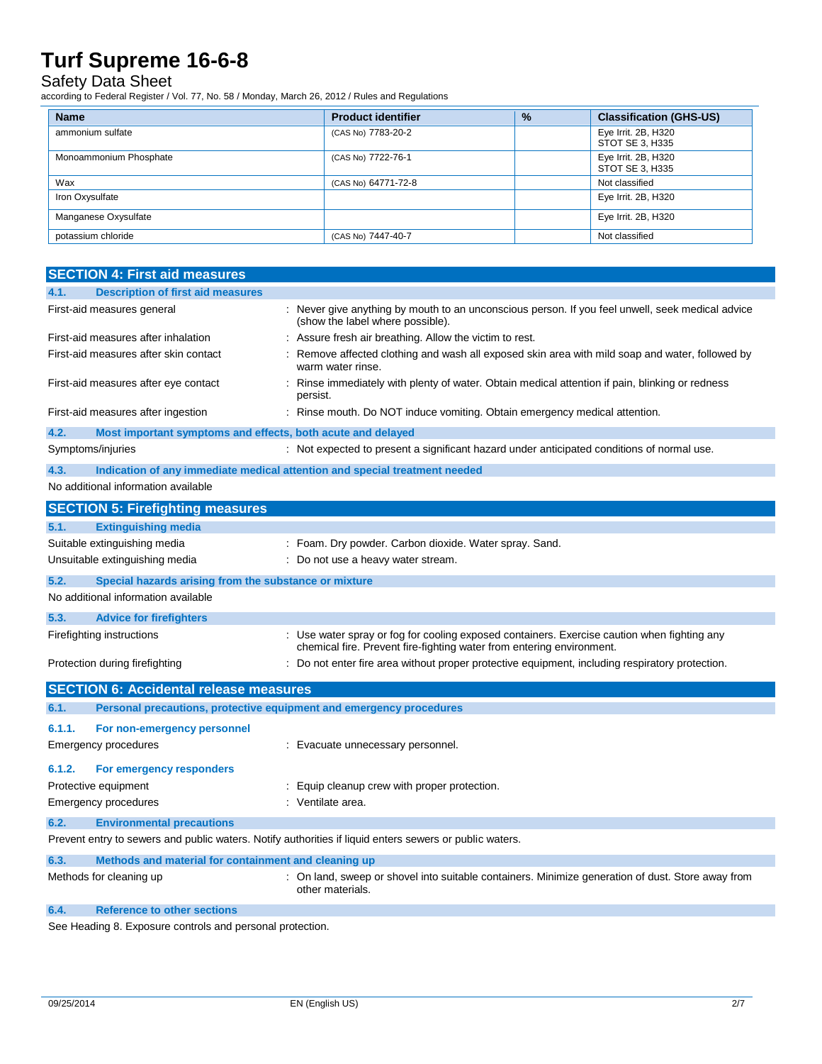### Safety Data Sheet

according to Federal Register / Vol. 77, No. 58 / Monday, March 26, 2012 / Rules and Regulations

| <b>Name</b>            | <b>Product identifier</b> | $\frac{9}{6}$ | <b>Classification (GHS-US)</b>         |
|------------------------|---------------------------|---------------|----------------------------------------|
| ammonium sulfate       | (CAS No) 7783-20-2        |               | Eye Irrit. 2B, H320<br>STOT SE 3, H335 |
| Monoammonium Phosphate | (CAS No) 7722-76-1        |               | Eye Irrit. 2B, H320<br>STOT SE 3, H335 |
| Wax                    | (CAS No) 64771-72-8       |               | Not classified                         |
| Iron Oxysulfate        |                           |               | Eye Irrit. 2B, H320                    |
| Manganese Oxysulfate   |                           |               | Eye Irrit. 2B, H320                    |
| potassium chloride     | (CAS No) 7447-40-7        |               | Not classified                         |

|                                                                                                         | <b>SECTION 4: First aid measures</b>                                |                                                                                                                                                                      |
|---------------------------------------------------------------------------------------------------------|---------------------------------------------------------------------|----------------------------------------------------------------------------------------------------------------------------------------------------------------------|
| 4.1.                                                                                                    | <b>Description of first aid measures</b>                            |                                                                                                                                                                      |
| First-aid measures general                                                                              |                                                                     | : Never give anything by mouth to an unconscious person. If you feel unwell, seek medical advice<br>(show the label where possible).                                 |
|                                                                                                         | First-aid measures after inhalation                                 | Assure fresh air breathing. Allow the victim to rest.                                                                                                                |
|                                                                                                         | First-aid measures after skin contact                               | Remove affected clothing and wash all exposed skin area with mild soap and water, followed by<br>warm water rinse.                                                   |
|                                                                                                         | First-aid measures after eye contact                                | Rinse immediately with plenty of water. Obtain medical attention if pain, blinking or redness<br>persist.                                                            |
|                                                                                                         | First-aid measures after ingestion                                  | : Rinse mouth. Do NOT induce vomiting. Obtain emergency medical attention.                                                                                           |
| 4.2.                                                                                                    | Most important symptoms and effects, both acute and delayed         |                                                                                                                                                                      |
|                                                                                                         | Symptoms/injuries                                                   | : Not expected to present a significant hazard under anticipated conditions of normal use.                                                                           |
| 4.3.                                                                                                    |                                                                     | Indication of any immediate medical attention and special treatment needed                                                                                           |
|                                                                                                         | No additional information available                                 |                                                                                                                                                                      |
|                                                                                                         | <b>SECTION 5: Firefighting measures</b>                             |                                                                                                                                                                      |
| 5.1.                                                                                                    | <b>Extinguishing media</b>                                          |                                                                                                                                                                      |
|                                                                                                         | Suitable extinguishing media                                        | : Foam. Dry powder. Carbon dioxide. Water spray. Sand.                                                                                                               |
|                                                                                                         | Unsuitable extinguishing media                                      | Do not use a heavy water stream.                                                                                                                                     |
| 5.2.                                                                                                    | Special hazards arising from the substance or mixture               |                                                                                                                                                                      |
|                                                                                                         | No additional information available                                 |                                                                                                                                                                      |
| 5.3.                                                                                                    | <b>Advice for firefighters</b>                                      |                                                                                                                                                                      |
|                                                                                                         | Firefighting instructions                                           | : Use water spray or fog for cooling exposed containers. Exercise caution when fighting any<br>chemical fire. Prevent fire-fighting water from entering environment. |
|                                                                                                         | Protection during firefighting                                      | Do not enter fire area without proper protective equipment, including respiratory protection.                                                                        |
|                                                                                                         | <b>SECTION 6: Accidental release measures</b>                       |                                                                                                                                                                      |
| 6.1.                                                                                                    | Personal precautions, protective equipment and emergency procedures |                                                                                                                                                                      |
| 6.1.1.                                                                                                  | For non-emergency personnel                                         |                                                                                                                                                                      |
|                                                                                                         | <b>Emergency procedures</b>                                         | : Evacuate unnecessary personnel.                                                                                                                                    |
| 6.1.2.                                                                                                  | For emergency responders                                            |                                                                                                                                                                      |
|                                                                                                         | Protective equipment                                                | Equip cleanup crew with proper protection.                                                                                                                           |
|                                                                                                         | <b>Emergency procedures</b>                                         | : Ventilate area.                                                                                                                                                    |
| 6.2.                                                                                                    | <b>Environmental precautions</b>                                    |                                                                                                                                                                      |
| Prevent entry to sewers and public waters. Notify authorities if liquid enters sewers or public waters. |                                                                     |                                                                                                                                                                      |
| 6.3.                                                                                                    | Methods and material for containment and cleaning up                |                                                                                                                                                                      |
|                                                                                                         | Methods for cleaning up                                             | : On land, sweep or shovel into suitable containers. Minimize generation of dust. Store away from<br>other materials.                                                |
| 6.4.                                                                                                    | <b>Reference to other sections</b>                                  |                                                                                                                                                                      |
|                                                                                                         |                                                                     |                                                                                                                                                                      |

See Heading 8. Exposure controls and personal protection.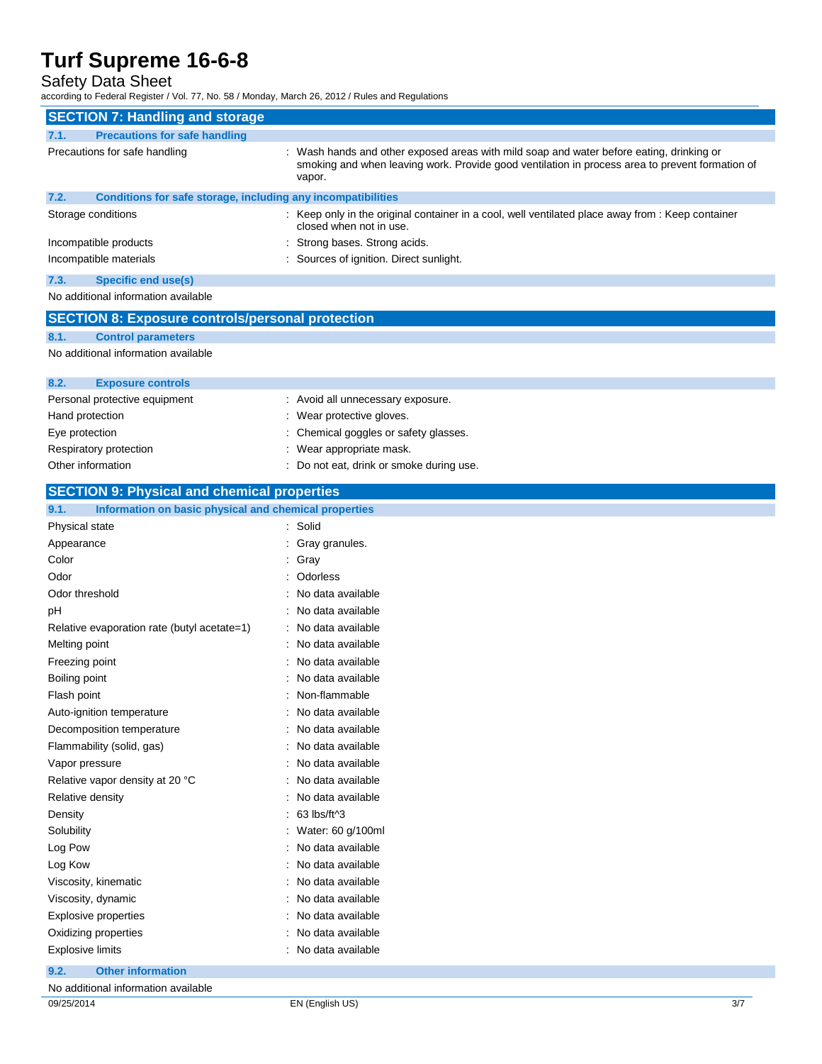## Safety Data Sheet

according to Federal Register / Vol. 77, No. 58 / Monday, March 26, 2012 / Rules and Regulations

| <b>SECTION 7: Handling and storage</b>                               |                                                                                                                                                                                                     |
|----------------------------------------------------------------------|-----------------------------------------------------------------------------------------------------------------------------------------------------------------------------------------------------|
| 7.1.<br><b>Precautions for safe handling</b>                         |                                                                                                                                                                                                     |
| Precautions for safe handling                                        | Wash hands and other exposed areas with mild soap and water before eating, drinking or<br>smoking and when leaving work. Provide good ventilation in process area to prevent formation of<br>vapor. |
| Conditions for safe storage, including any incompatibilities<br>7.2. |                                                                                                                                                                                                     |
| Storage conditions                                                   | : Keep only in the original container in a cool, well ventilated place away from : Keep container<br>closed when not in use.                                                                        |
| Incompatible products                                                | Strong bases. Strong acids.                                                                                                                                                                         |
| Incompatible materials                                               | : Sources of ignition. Direct sunlight.                                                                                                                                                             |
| 7.3.<br><b>Specific end use(s)</b>                                   |                                                                                                                                                                                                     |
| No additional information available                                  |                                                                                                                                                                                                     |
| <b>SECTION 8: Exposure controls/personal protection</b>              |                                                                                                                                                                                                     |
| 8.1.<br><b>Control parameters</b>                                    |                                                                                                                                                                                                     |
| No additional information available                                  |                                                                                                                                                                                                     |
|                                                                      |                                                                                                                                                                                                     |
| 8.2.<br><b>Exposure controls</b>                                     |                                                                                                                                                                                                     |
| Personal protective equipment                                        | : Avoid all unnecessary exposure.                                                                                                                                                                   |
| Hand protection                                                      | Wear protective gloves.                                                                                                                                                                             |
| Eye protection                                                       | Chemical goggles or safety glasses.                                                                                                                                                                 |
| Respiratory protection                                               | Wear appropriate mask.                                                                                                                                                                              |
| Other information                                                    | : Do not eat, drink or smoke during use.                                                                                                                                                            |
| <b>SECTION 9: Physical and chemical properties</b>                   |                                                                                                                                                                                                     |
| 9.1.<br>Information on basic physical and chemical properties        |                                                                                                                                                                                                     |
| <b>Physical state</b>                                                | Solid                                                                                                                                                                                               |
| Appearance                                                           | Gray granules.                                                                                                                                                                                      |
| Color                                                                | Gray                                                                                                                                                                                                |
| Odor                                                                 | Odorless                                                                                                                                                                                            |
| Odor threshold                                                       | No data available                                                                                                                                                                                   |
| рH                                                                   | No data available                                                                                                                                                                                   |
| Relative evaporation rate (butyl acetate=1)                          | No data available                                                                                                                                                                                   |
| Melting point                                                        | No data available                                                                                                                                                                                   |
| Freezing point                                                       | No data available                                                                                                                                                                                   |
| Boiling point                                                        | No data available                                                                                                                                                                                   |
| Flash point                                                          | Non-flammable                                                                                                                                                                                       |
| Auto-ignition temperature                                            | No data available                                                                                                                                                                                   |
| Decomposition temperature                                            | No data available                                                                                                                                                                                   |
| Flammability (solid, gas)                                            | No data available                                                                                                                                                                                   |
| Vapor pressure                                                       | No data available                                                                                                                                                                                   |
| Relative vapor density at 20 °C                                      | No data available                                                                                                                                                                                   |
| Relative density                                                     | No data available                                                                                                                                                                                   |
| Density                                                              | 63 lbs/ft^3                                                                                                                                                                                         |
| Solubility                                                           | : Water: 60 g/100ml                                                                                                                                                                                 |
| Log Pow                                                              | : No data available                                                                                                                                                                                 |
| Log Kow                                                              | No data available                                                                                                                                                                                   |
| Viscosity, kinematic                                                 | No data available                                                                                                                                                                                   |
| Viscosity, dynamic                                                   | No data available                                                                                                                                                                                   |
| <b>Explosive properties</b>                                          | No data available                                                                                                                                                                                   |
| Oxidizing properties                                                 | No data available                                                                                                                                                                                   |
| <b>Explosive limits</b>                                              | No data available                                                                                                                                                                                   |
| <b>Other information</b><br>9.2.                                     |                                                                                                                                                                                                     |
| No additional information available                                  |                                                                                                                                                                                                     |

09/25/2014 EN (English US) 3/7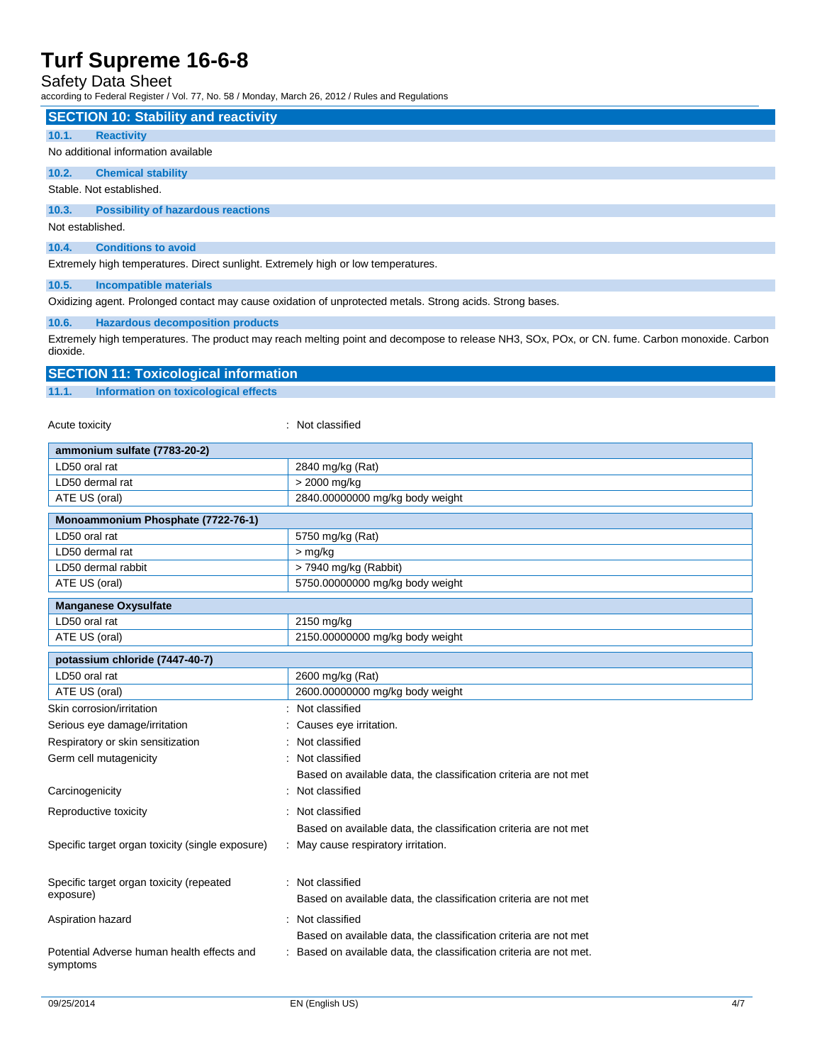### Safety Data Sheet

according to Federal Register / Vol. 77, No. 58 / Monday, March 26, 2012 / Rules and Regulations

## **SECTION 10: Stability and reactivity 10.1. Reactivity** No additional information available **10.2. Chemical stability** Stable. Not established. **10.3. Possibility of hazardous reactions** Not established.

### **10.4. Conditions to avoid**

Extremely high temperatures. Direct sunlight. Extremely high or low temperatures.

#### **10.5. Incompatible materials**

Oxidizing agent. Prolonged contact may cause oxidation of unprotected metals. Strong acids. Strong bases.

#### **10.6. Hazardous decomposition products**

Extremely high temperatures. The product may reach melting point and decompose to release NH3, SOx, POx, or CN. fume. Carbon monoxide. Carbon dioxide.

### **SECTION 11: Toxicological information**

**11.1. Information on toxicological effects**

Acute toxicity in the classified in the classified in the classified in the classified in the classified in the classified in the classified in the classified in the classified in the classified in the classified in the cl

| ammonium sulfate (7783-20-2)                           |                                                                   |  |
|--------------------------------------------------------|-------------------------------------------------------------------|--|
| LD50 oral rat                                          | 2840 mg/kg (Rat)                                                  |  |
| LD50 dermal rat                                        | > 2000 mg/kg                                                      |  |
| ATE US (oral)                                          | 2840.00000000 mg/kg body weight                                   |  |
| Monoammonium Phosphate (7722-76-1)                     |                                                                   |  |
| LD50 oral rat                                          | 5750 mg/kg (Rat)                                                  |  |
| LD50 dermal rat                                        | > mg/kg                                                           |  |
| LD50 dermal rabbit                                     | > 7940 mg/kg (Rabbit)                                             |  |
| ATE US (oral)                                          | 5750.00000000 mg/kg body weight                                   |  |
| <b>Manganese Oxysulfate</b>                            |                                                                   |  |
| LD50 oral rat                                          | 2150 mg/kg                                                        |  |
| ATE US (oral)                                          | 2150.00000000 mg/kg body weight                                   |  |
| potassium chloride (7447-40-7)                         |                                                                   |  |
| LD50 oral rat                                          | 2600 mg/kg (Rat)                                                  |  |
| ATE US (oral)                                          | 2600.00000000 mg/kg body weight                                   |  |
| Skin corrosion/irritation                              | Not classified                                                    |  |
| Serious eye damage/irritation                          | Causes eye irritation.                                            |  |
| Respiratory or skin sensitization                      | Not classified                                                    |  |
| Germ cell mutagenicity                                 | Not classified                                                    |  |
|                                                        | Based on available data, the classification criteria are not met  |  |
| Carcinogenicity                                        | Not classified                                                    |  |
| Reproductive toxicity                                  | Not classified                                                    |  |
|                                                        | Based on available data, the classification criteria are not met  |  |
| Specific target organ toxicity (single exposure)       | May cause respiratory irritation.                                 |  |
|                                                        |                                                                   |  |
| Specific target organ toxicity (repeated               | Not classified                                                    |  |
| exposure)                                              | Based on available data, the classification criteria are not met  |  |
| Aspiration hazard                                      | Not classified                                                    |  |
|                                                        | Based on available data, the classification criteria are not met  |  |
| Potential Adverse human health effects and<br>symptoms | Based on available data, the classification criteria are not met. |  |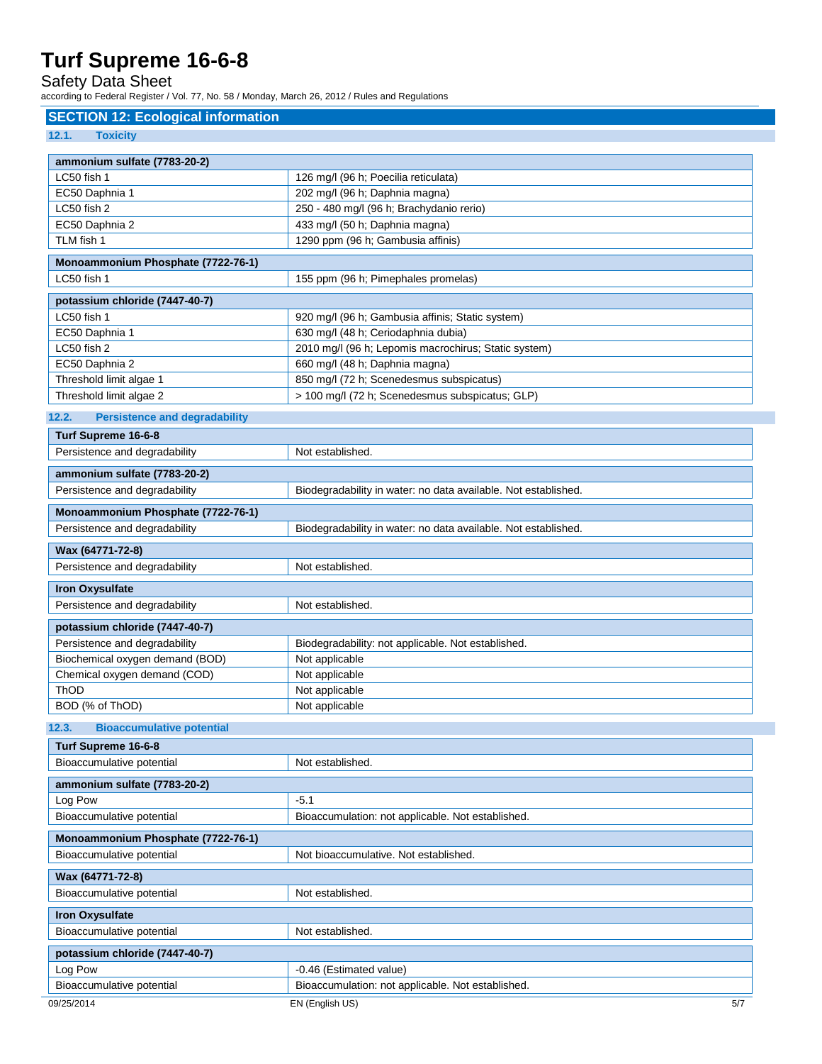Safety Data Sheet

according to Federal Register / Vol. 77, No. 58 / Monday, March 26, 2012 / Rules and Regulations

## **SECTION 12: Ecological information**

### **12.1. Toxicity**

| LC50 fish 1<br>126 mg/l (96 h; Poecilia reticulata)<br>202 mg/l (96 h; Daphnia magna)<br>EC50 Daphnia 1<br>250 - 480 mg/l (96 h; Brachydanio rerio)<br>LC50 fish 2<br>433 mg/l (50 h; Daphnia magna)<br>EC50 Daphnia 2<br>1290 ppm (96 h; Gambusia affinis)<br>TLM fish 1<br>Monoammonium Phosphate (7722-76-1)<br>LC50 fish 1<br>155 ppm (96 h; Pimephales promelas)<br>920 mg/l (96 h; Gambusia affinis; Static system)<br>630 mg/l (48 h; Ceriodaphnia dubia)<br>2010 mg/l (96 h; Lepomis macrochirus; Static system)<br>660 mg/l (48 h; Daphnia magna)<br>850 mg/l (72 h; Scenedesmus subspicatus)<br>Threshold limit algae 1<br>> 100 mg/l (72 h; Scenedesmus subspicatus; GLP)<br><b>Persistence and degradability</b><br>Not established.<br>ammonium sulfate (7783-20-2)<br>Persistence and degradability<br>Biodegradability in water: no data available. Not established.<br>Persistence and degradability<br>Biodegradability in water: no data available. Not established.<br>Not established.<br><b>Iron Oxysulfate</b><br>Not established.<br>potassium chloride (7447-40-7)<br>Persistence and degradability<br>Biodegradability: not applicable. Not established.<br>Biochemical oxygen demand (BOD)<br>Not applicable<br>Chemical oxygen demand (COD)<br>Not applicable<br>Not applicable<br>BOD (% of ThOD)<br>Not applicable<br>12.3.<br><b>Bioaccumulative potential</b><br>Turf Supreme 16-6-8<br>Not established.<br>Bioaccumulative potential<br>$-5.1$<br>Bioaccumulation: not applicable. Not established.<br>Not bioaccumulative. Not established.<br>Not established.<br><b>Iron Oxysulfate</b><br>Bioaccumulative potential<br>Not established.<br>potassium chloride (7447-40-7)<br>Log Pow<br>-0.46 (Estimated value)<br>Bioaccumulative potential<br>Bioaccumulation: not applicable. Not established. | ammonium sulfate (7783-20-2)       |                 |     |
|---------------------------------------------------------------------------------------------------------------------------------------------------------------------------------------------------------------------------------------------------------------------------------------------------------------------------------------------------------------------------------------------------------------------------------------------------------------------------------------------------------------------------------------------------------------------------------------------------------------------------------------------------------------------------------------------------------------------------------------------------------------------------------------------------------------------------------------------------------------------------------------------------------------------------------------------------------------------------------------------------------------------------------------------------------------------------------------------------------------------------------------------------------------------------------------------------------------------------------------------------------------------------------------------------------------------------------------------------------------------------------------------------------------------------------------------------------------------------------------------------------------------------------------------------------------------------------------------------------------------------------------------------------------------------------------------------------------------------------------------------------------------------------------------------------------------------------------|------------------------------------|-----------------|-----|
|                                                                                                                                                                                                                                                                                                                                                                                                                                                                                                                                                                                                                                                                                                                                                                                                                                                                                                                                                                                                                                                                                                                                                                                                                                                                                                                                                                                                                                                                                                                                                                                                                                                                                                                                                                                                                                       |                                    |                 |     |
|                                                                                                                                                                                                                                                                                                                                                                                                                                                                                                                                                                                                                                                                                                                                                                                                                                                                                                                                                                                                                                                                                                                                                                                                                                                                                                                                                                                                                                                                                                                                                                                                                                                                                                                                                                                                                                       |                                    |                 |     |
|                                                                                                                                                                                                                                                                                                                                                                                                                                                                                                                                                                                                                                                                                                                                                                                                                                                                                                                                                                                                                                                                                                                                                                                                                                                                                                                                                                                                                                                                                                                                                                                                                                                                                                                                                                                                                                       |                                    |                 |     |
|                                                                                                                                                                                                                                                                                                                                                                                                                                                                                                                                                                                                                                                                                                                                                                                                                                                                                                                                                                                                                                                                                                                                                                                                                                                                                                                                                                                                                                                                                                                                                                                                                                                                                                                                                                                                                                       |                                    |                 |     |
|                                                                                                                                                                                                                                                                                                                                                                                                                                                                                                                                                                                                                                                                                                                                                                                                                                                                                                                                                                                                                                                                                                                                                                                                                                                                                                                                                                                                                                                                                                                                                                                                                                                                                                                                                                                                                                       |                                    |                 |     |
|                                                                                                                                                                                                                                                                                                                                                                                                                                                                                                                                                                                                                                                                                                                                                                                                                                                                                                                                                                                                                                                                                                                                                                                                                                                                                                                                                                                                                                                                                                                                                                                                                                                                                                                                                                                                                                       |                                    |                 |     |
|                                                                                                                                                                                                                                                                                                                                                                                                                                                                                                                                                                                                                                                                                                                                                                                                                                                                                                                                                                                                                                                                                                                                                                                                                                                                                                                                                                                                                                                                                                                                                                                                                                                                                                                                                                                                                                       |                                    |                 |     |
|                                                                                                                                                                                                                                                                                                                                                                                                                                                                                                                                                                                                                                                                                                                                                                                                                                                                                                                                                                                                                                                                                                                                                                                                                                                                                                                                                                                                                                                                                                                                                                                                                                                                                                                                                                                                                                       |                                    |                 |     |
|                                                                                                                                                                                                                                                                                                                                                                                                                                                                                                                                                                                                                                                                                                                                                                                                                                                                                                                                                                                                                                                                                                                                                                                                                                                                                                                                                                                                                                                                                                                                                                                                                                                                                                                                                                                                                                       | potassium chloride (7447-40-7)     |                 |     |
|                                                                                                                                                                                                                                                                                                                                                                                                                                                                                                                                                                                                                                                                                                                                                                                                                                                                                                                                                                                                                                                                                                                                                                                                                                                                                                                                                                                                                                                                                                                                                                                                                                                                                                                                                                                                                                       | LC50 fish 1                        |                 |     |
|                                                                                                                                                                                                                                                                                                                                                                                                                                                                                                                                                                                                                                                                                                                                                                                                                                                                                                                                                                                                                                                                                                                                                                                                                                                                                                                                                                                                                                                                                                                                                                                                                                                                                                                                                                                                                                       | EC50 Daphnia 1                     |                 |     |
|                                                                                                                                                                                                                                                                                                                                                                                                                                                                                                                                                                                                                                                                                                                                                                                                                                                                                                                                                                                                                                                                                                                                                                                                                                                                                                                                                                                                                                                                                                                                                                                                                                                                                                                                                                                                                                       | LC50 fish 2                        |                 |     |
|                                                                                                                                                                                                                                                                                                                                                                                                                                                                                                                                                                                                                                                                                                                                                                                                                                                                                                                                                                                                                                                                                                                                                                                                                                                                                                                                                                                                                                                                                                                                                                                                                                                                                                                                                                                                                                       | EC50 Daphnia 2                     |                 |     |
|                                                                                                                                                                                                                                                                                                                                                                                                                                                                                                                                                                                                                                                                                                                                                                                                                                                                                                                                                                                                                                                                                                                                                                                                                                                                                                                                                                                                                                                                                                                                                                                                                                                                                                                                                                                                                                       |                                    |                 |     |
|                                                                                                                                                                                                                                                                                                                                                                                                                                                                                                                                                                                                                                                                                                                                                                                                                                                                                                                                                                                                                                                                                                                                                                                                                                                                                                                                                                                                                                                                                                                                                                                                                                                                                                                                                                                                                                       | Threshold limit algae 2            |                 |     |
|                                                                                                                                                                                                                                                                                                                                                                                                                                                                                                                                                                                                                                                                                                                                                                                                                                                                                                                                                                                                                                                                                                                                                                                                                                                                                                                                                                                                                                                                                                                                                                                                                                                                                                                                                                                                                                       | 12.2.                              |                 |     |
|                                                                                                                                                                                                                                                                                                                                                                                                                                                                                                                                                                                                                                                                                                                                                                                                                                                                                                                                                                                                                                                                                                                                                                                                                                                                                                                                                                                                                                                                                                                                                                                                                                                                                                                                                                                                                                       | Turf Supreme 16-6-8                |                 |     |
|                                                                                                                                                                                                                                                                                                                                                                                                                                                                                                                                                                                                                                                                                                                                                                                                                                                                                                                                                                                                                                                                                                                                                                                                                                                                                                                                                                                                                                                                                                                                                                                                                                                                                                                                                                                                                                       | Persistence and degradability      |                 |     |
|                                                                                                                                                                                                                                                                                                                                                                                                                                                                                                                                                                                                                                                                                                                                                                                                                                                                                                                                                                                                                                                                                                                                                                                                                                                                                                                                                                                                                                                                                                                                                                                                                                                                                                                                                                                                                                       |                                    |                 |     |
|                                                                                                                                                                                                                                                                                                                                                                                                                                                                                                                                                                                                                                                                                                                                                                                                                                                                                                                                                                                                                                                                                                                                                                                                                                                                                                                                                                                                                                                                                                                                                                                                                                                                                                                                                                                                                                       |                                    |                 |     |
|                                                                                                                                                                                                                                                                                                                                                                                                                                                                                                                                                                                                                                                                                                                                                                                                                                                                                                                                                                                                                                                                                                                                                                                                                                                                                                                                                                                                                                                                                                                                                                                                                                                                                                                                                                                                                                       |                                    |                 |     |
|                                                                                                                                                                                                                                                                                                                                                                                                                                                                                                                                                                                                                                                                                                                                                                                                                                                                                                                                                                                                                                                                                                                                                                                                                                                                                                                                                                                                                                                                                                                                                                                                                                                                                                                                                                                                                                       | Monoammonium Phosphate (7722-76-1) |                 |     |
|                                                                                                                                                                                                                                                                                                                                                                                                                                                                                                                                                                                                                                                                                                                                                                                                                                                                                                                                                                                                                                                                                                                                                                                                                                                                                                                                                                                                                                                                                                                                                                                                                                                                                                                                                                                                                                       |                                    |                 |     |
|                                                                                                                                                                                                                                                                                                                                                                                                                                                                                                                                                                                                                                                                                                                                                                                                                                                                                                                                                                                                                                                                                                                                                                                                                                                                                                                                                                                                                                                                                                                                                                                                                                                                                                                                                                                                                                       | Wax (64771-72-8)                   |                 |     |
|                                                                                                                                                                                                                                                                                                                                                                                                                                                                                                                                                                                                                                                                                                                                                                                                                                                                                                                                                                                                                                                                                                                                                                                                                                                                                                                                                                                                                                                                                                                                                                                                                                                                                                                                                                                                                                       | Persistence and degradability      |                 |     |
|                                                                                                                                                                                                                                                                                                                                                                                                                                                                                                                                                                                                                                                                                                                                                                                                                                                                                                                                                                                                                                                                                                                                                                                                                                                                                                                                                                                                                                                                                                                                                                                                                                                                                                                                                                                                                                       |                                    |                 |     |
|                                                                                                                                                                                                                                                                                                                                                                                                                                                                                                                                                                                                                                                                                                                                                                                                                                                                                                                                                                                                                                                                                                                                                                                                                                                                                                                                                                                                                                                                                                                                                                                                                                                                                                                                                                                                                                       | Persistence and degradability      |                 |     |
|                                                                                                                                                                                                                                                                                                                                                                                                                                                                                                                                                                                                                                                                                                                                                                                                                                                                                                                                                                                                                                                                                                                                                                                                                                                                                                                                                                                                                                                                                                                                                                                                                                                                                                                                                                                                                                       |                                    |                 |     |
|                                                                                                                                                                                                                                                                                                                                                                                                                                                                                                                                                                                                                                                                                                                                                                                                                                                                                                                                                                                                                                                                                                                                                                                                                                                                                                                                                                                                                                                                                                                                                                                                                                                                                                                                                                                                                                       |                                    |                 |     |
|                                                                                                                                                                                                                                                                                                                                                                                                                                                                                                                                                                                                                                                                                                                                                                                                                                                                                                                                                                                                                                                                                                                                                                                                                                                                                                                                                                                                                                                                                                                                                                                                                                                                                                                                                                                                                                       |                                    |                 |     |
|                                                                                                                                                                                                                                                                                                                                                                                                                                                                                                                                                                                                                                                                                                                                                                                                                                                                                                                                                                                                                                                                                                                                                                                                                                                                                                                                                                                                                                                                                                                                                                                                                                                                                                                                                                                                                                       |                                    |                 |     |
|                                                                                                                                                                                                                                                                                                                                                                                                                                                                                                                                                                                                                                                                                                                                                                                                                                                                                                                                                                                                                                                                                                                                                                                                                                                                                                                                                                                                                                                                                                                                                                                                                                                                                                                                                                                                                                       | ThOD                               |                 |     |
|                                                                                                                                                                                                                                                                                                                                                                                                                                                                                                                                                                                                                                                                                                                                                                                                                                                                                                                                                                                                                                                                                                                                                                                                                                                                                                                                                                                                                                                                                                                                                                                                                                                                                                                                                                                                                                       |                                    |                 |     |
|                                                                                                                                                                                                                                                                                                                                                                                                                                                                                                                                                                                                                                                                                                                                                                                                                                                                                                                                                                                                                                                                                                                                                                                                                                                                                                                                                                                                                                                                                                                                                                                                                                                                                                                                                                                                                                       |                                    |                 |     |
|                                                                                                                                                                                                                                                                                                                                                                                                                                                                                                                                                                                                                                                                                                                                                                                                                                                                                                                                                                                                                                                                                                                                                                                                                                                                                                                                                                                                                                                                                                                                                                                                                                                                                                                                                                                                                                       |                                    |                 |     |
|                                                                                                                                                                                                                                                                                                                                                                                                                                                                                                                                                                                                                                                                                                                                                                                                                                                                                                                                                                                                                                                                                                                                                                                                                                                                                                                                                                                                                                                                                                                                                                                                                                                                                                                                                                                                                                       |                                    |                 |     |
|                                                                                                                                                                                                                                                                                                                                                                                                                                                                                                                                                                                                                                                                                                                                                                                                                                                                                                                                                                                                                                                                                                                                                                                                                                                                                                                                                                                                                                                                                                                                                                                                                                                                                                                                                                                                                                       |                                    |                 |     |
|                                                                                                                                                                                                                                                                                                                                                                                                                                                                                                                                                                                                                                                                                                                                                                                                                                                                                                                                                                                                                                                                                                                                                                                                                                                                                                                                                                                                                                                                                                                                                                                                                                                                                                                                                                                                                                       | ammonium sulfate (7783-20-2)       |                 |     |
|                                                                                                                                                                                                                                                                                                                                                                                                                                                                                                                                                                                                                                                                                                                                                                                                                                                                                                                                                                                                                                                                                                                                                                                                                                                                                                                                                                                                                                                                                                                                                                                                                                                                                                                                                                                                                                       | Log Pow                            |                 |     |
|                                                                                                                                                                                                                                                                                                                                                                                                                                                                                                                                                                                                                                                                                                                                                                                                                                                                                                                                                                                                                                                                                                                                                                                                                                                                                                                                                                                                                                                                                                                                                                                                                                                                                                                                                                                                                                       | Bioaccumulative potential          |                 |     |
|                                                                                                                                                                                                                                                                                                                                                                                                                                                                                                                                                                                                                                                                                                                                                                                                                                                                                                                                                                                                                                                                                                                                                                                                                                                                                                                                                                                                                                                                                                                                                                                                                                                                                                                                                                                                                                       | Monoammonium Phosphate (7722-76-1) |                 |     |
|                                                                                                                                                                                                                                                                                                                                                                                                                                                                                                                                                                                                                                                                                                                                                                                                                                                                                                                                                                                                                                                                                                                                                                                                                                                                                                                                                                                                                                                                                                                                                                                                                                                                                                                                                                                                                                       | Bioaccumulative potential          |                 |     |
|                                                                                                                                                                                                                                                                                                                                                                                                                                                                                                                                                                                                                                                                                                                                                                                                                                                                                                                                                                                                                                                                                                                                                                                                                                                                                                                                                                                                                                                                                                                                                                                                                                                                                                                                                                                                                                       | Wax (64771-72-8)                   |                 |     |
|                                                                                                                                                                                                                                                                                                                                                                                                                                                                                                                                                                                                                                                                                                                                                                                                                                                                                                                                                                                                                                                                                                                                                                                                                                                                                                                                                                                                                                                                                                                                                                                                                                                                                                                                                                                                                                       | Bioaccumulative potential          |                 |     |
|                                                                                                                                                                                                                                                                                                                                                                                                                                                                                                                                                                                                                                                                                                                                                                                                                                                                                                                                                                                                                                                                                                                                                                                                                                                                                                                                                                                                                                                                                                                                                                                                                                                                                                                                                                                                                                       |                                    |                 |     |
|                                                                                                                                                                                                                                                                                                                                                                                                                                                                                                                                                                                                                                                                                                                                                                                                                                                                                                                                                                                                                                                                                                                                                                                                                                                                                                                                                                                                                                                                                                                                                                                                                                                                                                                                                                                                                                       |                                    |                 |     |
|                                                                                                                                                                                                                                                                                                                                                                                                                                                                                                                                                                                                                                                                                                                                                                                                                                                                                                                                                                                                                                                                                                                                                                                                                                                                                                                                                                                                                                                                                                                                                                                                                                                                                                                                                                                                                                       |                                    |                 |     |
|                                                                                                                                                                                                                                                                                                                                                                                                                                                                                                                                                                                                                                                                                                                                                                                                                                                                                                                                                                                                                                                                                                                                                                                                                                                                                                                                                                                                                                                                                                                                                                                                                                                                                                                                                                                                                                       |                                    |                 |     |
|                                                                                                                                                                                                                                                                                                                                                                                                                                                                                                                                                                                                                                                                                                                                                                                                                                                                                                                                                                                                                                                                                                                                                                                                                                                                                                                                                                                                                                                                                                                                                                                                                                                                                                                                                                                                                                       |                                    |                 |     |
|                                                                                                                                                                                                                                                                                                                                                                                                                                                                                                                                                                                                                                                                                                                                                                                                                                                                                                                                                                                                                                                                                                                                                                                                                                                                                                                                                                                                                                                                                                                                                                                                                                                                                                                                                                                                                                       | 09/25/2014                         | EN (English US) | 5/7 |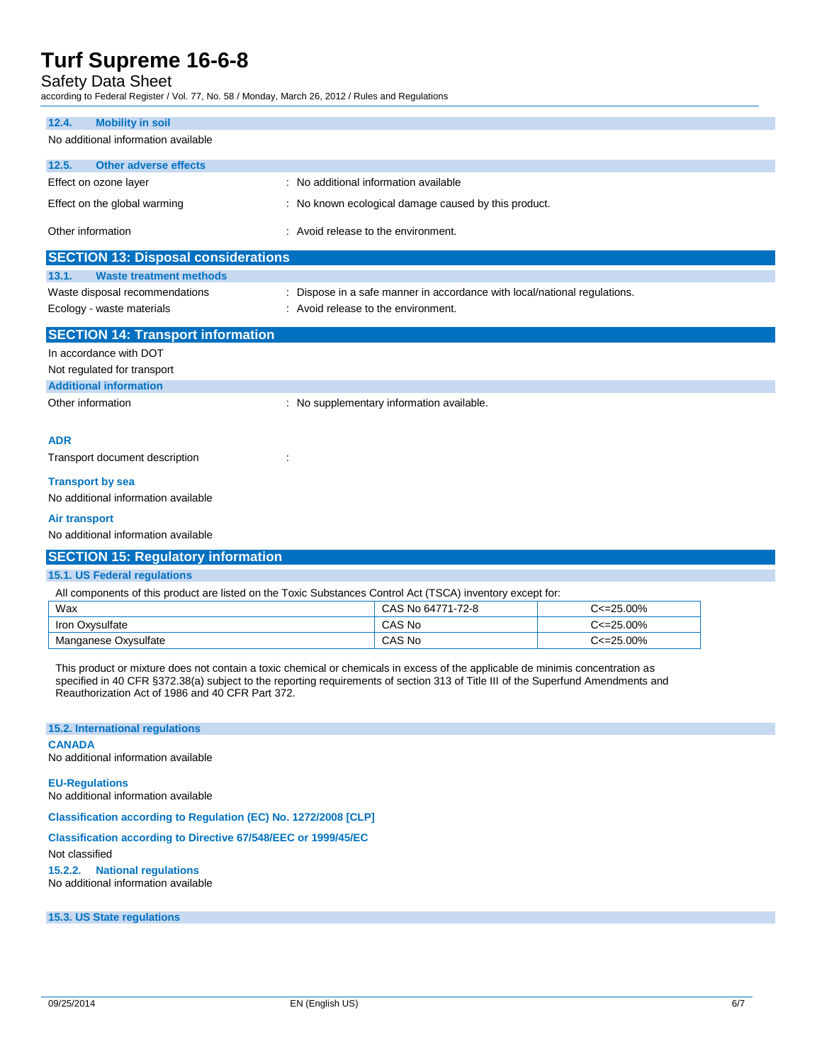### Safety Data Sheet

according to Federal Register / Vol. 77, No. 58 / Monday, March 26, 2012 / Rules and Regulations

| <b>Mobility in soil</b><br>12.4.                                 |                                                                         |  |  |
|------------------------------------------------------------------|-------------------------------------------------------------------------|--|--|
| No additional information available                              |                                                                         |  |  |
| Other adverse effects<br>12.5.                                   |                                                                         |  |  |
| Effect on ozone layer                                            | : No additional information available                                   |  |  |
| Effect on the global warming                                     | : No known ecological damage caused by this product.                    |  |  |
| Other information                                                | : Avoid release to the environment.                                     |  |  |
| <b>SECTION 13: Disposal considerations</b>                       |                                                                         |  |  |
| 13.1.<br><b>Waste treatment methods</b>                          |                                                                         |  |  |
| Waste disposal recommendations                                   | Dispose in a safe manner in accordance with local/national regulations. |  |  |
| : Avoid release to the environment.<br>Ecology - waste materials |                                                                         |  |  |
| <b>SECTION 14: Transport information</b>                         |                                                                         |  |  |
| In accordance with DOT                                           |                                                                         |  |  |
| Not regulated for transport                                      |                                                                         |  |  |
| <b>Additional information</b>                                    |                                                                         |  |  |
| Other information                                                | No supplementary information available.                                 |  |  |
|                                                                  |                                                                         |  |  |
| <b>ADR</b>                                                       |                                                                         |  |  |
| Transport document description                                   |                                                                         |  |  |
| <b>Transport by sea</b>                                          |                                                                         |  |  |
| No additional information available                              |                                                                         |  |  |
| <b>Air transport</b>                                             |                                                                         |  |  |
| No additional information available                              |                                                                         |  |  |
|                                                                  |                                                                         |  |  |

## **SECTION 15: Regulatory information**

### **15.1. US Federal regulations**

All components of this product are listed on the Toxic Substances Control Act (TSCA) inventory except for:

| Wax                  | CAS No 64771-72-8 | $C < 25.00\%$ |
|----------------------|-------------------|---------------|
| Iron Oxysulfate      | CAS No            | C<=25.00%     |
| Manganese Oxysulfate | CAS No            | C<=25.00%     |

This product or mixture does not contain a toxic chemical or chemicals in excess of the applicable de minimis concentration as specified in 40 CFR §372.38(a) subject to the reporting requirements of section 313 of Title III of the Superfund Amendments and Reauthorization Act of 1986 and 40 CFR Part 372.

#### **15.2. International regulations**

#### **CANADA**

No additional information available

#### **EU-Regulations**

No additional information available

### **Classification according to Regulation (EC) No. 1272/2008 [CLP]**

#### **Classification according to Directive 67/548/EEC or 1999/45/EC**

Not classified

#### **15.2.2. National regulations** No additional information available

**15.3. US State regulations**